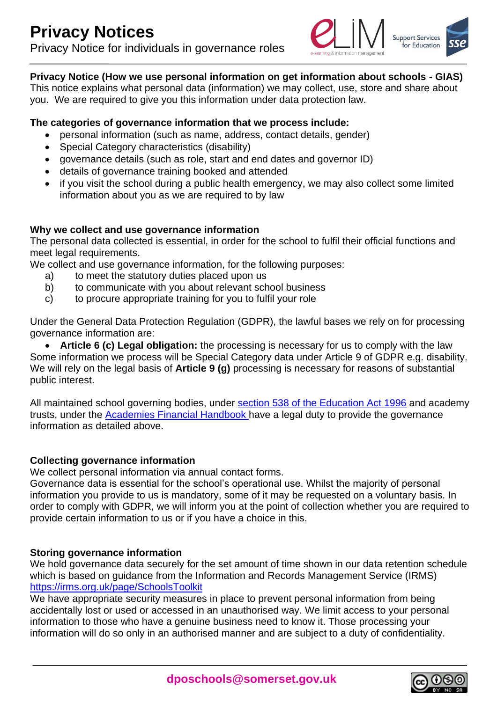

## **Privacy Notice (How we use personal information on get information about schools - GIAS)**

This notice explains what personal data (information) we may collect, use, store and share about you. We are required to give you this information under data protection law.

## **The categories of governance information that we process include:**

- personal information (such as name, address, contact details, gender)
- Special Category characteristics (disability)
- governance details (such as role, start and end dates and governor ID)
- details of governance training booked and attended
- if you visit the school during a public health emergency, we may also collect some limited information about you as we are required to by law

## **Why we collect and use governance information**

The personal data collected is essential, in order for the school to fulfil their official functions and meet legal requirements.

We collect and use governance information, for the following purposes:

- a) to meet the statutory duties placed upon us
- b) to communicate with you about relevant school business
- c) to procure appropriate training for you to fulfil your role

Under the General Data Protection Regulation (GDPR), the lawful bases we rely on for processing governance information are:

 **Article 6 (c) Legal obligation:** the processing is necessary for us to comply with the law Some information we process will be Special Category data under Article 9 of GDPR e.g. disability. We will rely on the legal basis of **Article 9 (g)** processing is necessary for reasons of substantial public interest.

All maintained school governing bodies, under [section 538 of the Education Act 1996](http://www.legislation.gov.uk/ukpga/1996/56/section/538) and academy trusts, under the [Academies Financial Handbook h](https://www.gov.uk/government/publications/academies-financial-handbook)ave a legal duty to provide the governance information as detailed above.

#### **Collecting governance information**

We collect personal information via annual contact forms.

Governance data is essential for the school's operational use. Whilst the majority of personal information you provide to us is mandatory, some of it may be requested on a voluntary basis. In order to comply with GDPR, we will inform you at the point of collection whether you are required to provide certain information to us or if you have a choice in this.

#### **Storing governance information**

We hold governance data securely for the set amount of time shown in our data retention schedule which is based on guidance from the Information and Records Management Service (IRMS) <https://irms.org.uk/page/SchoolsToolkit>

We have appropriate security measures in place to prevent personal information from being accidentally lost or used or accessed in an unauthorised way. We limit access to your personal information to those who have a genuine business need to know it. Those processing your information will do so only in an authorised manner and are subject to a duty of confidentiality.

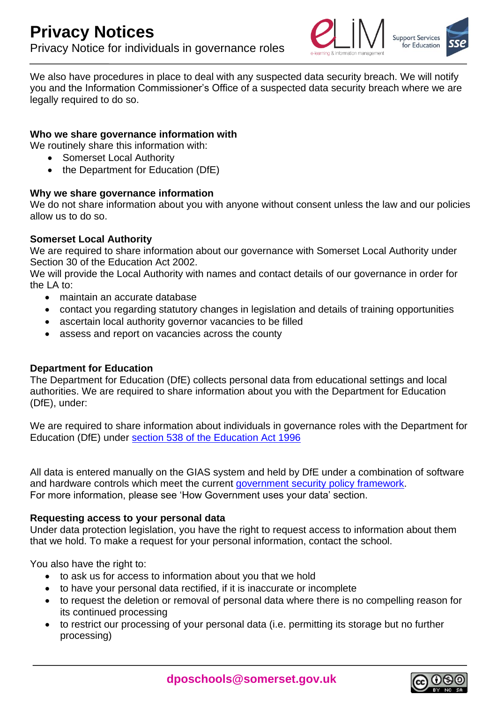

We also have procedures in place to deal with any suspected data security breach. We will notify you and the Information Commissioner's Office of a suspected data security breach where we are legally required to do so.

## **Who we share governance information with**

We routinely share this information with:

- Somerset Local Authority
- the Department for Education (DfE)

#### **Why we share governance information**

We do not share information about you with anyone without consent unless the law and our policies allow us to do so.

## **Somerset Local Authority**

We are required to share information about our governance with Somerset Local Authority under Section 30 of the Education Act 2002.

We will provide the Local Authority with names and contact details of our governance in order for the LA to:

- maintain an accurate database
- contact you regarding statutory changes in legislation and details of training opportunities
- ascertain local authority governor vacancies to be filled
- assess and report on vacancies across the county

#### **Department for Education**

The Department for Education (DfE) collects personal data from educational settings and local authorities. We are required to share information about you with the Department for Education (DfE), under:

We are required to share information about individuals in governance roles with the Department for Education (DfE) under [section 538 of the Education Act 1996](http://www.legislation.gov.uk/ukpga/1996/56/section/538)

All data is entered manually on the GIAS system and held by DfE under a combination of software and hardware controls which meet the current [government security policy framework.](https://www.gov.uk/government/publications/security-policy-framework) For more information, please see 'How Government uses your data' section.

#### **Requesting access to your personal data**

Under data protection legislation, you have the right to request access to information about them that we hold. To make a request for your personal information, contact the school.

You also have the right to:

- to ask us for access to information about you that we hold
- to have your personal data rectified, if it is inaccurate or incomplete
- to request the deletion or removal of personal data where there is no compelling reason for its continued processing
- to restrict our processing of your personal data (i.e. permitting its storage but no further processing)

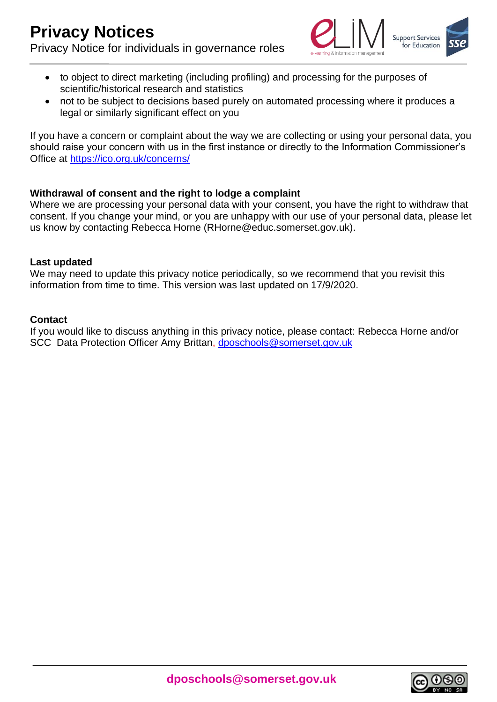

- to object to direct marketing (including profiling) and processing for the purposes of scientific/historical research and statistics
- not to be subject to decisions based purely on automated processing where it produces a legal or similarly significant effect on you

If you have a concern or complaint about the way we are collecting or using your personal data, you should raise your concern with us in the first instance or directly to the Information Commissioner's Office at<https://ico.org.uk/concerns/>

## **Withdrawal of consent and the right to lodge a complaint**

Where we are processing your personal data with your consent, you have the right to withdraw that consent. If you change your mind, or you are unhappy with our use of your personal data, please let us know by contacting Rebecca Horne (RHorne@educ.somerset.gov.uk).

#### **Last updated**

We may need to update this privacy notice periodically, so we recommend that you revisit this information from time to time. This version was last updated on 17/9/2020.

## **Contact**

If you would like to discuss anything in this privacy notice, please contact: Rebecca Horne and/or SCC Data Protection Officer Amy Brittan, [dposchools@somerset.gov.uk](mailto:dposchools@somerset.gov.uk)